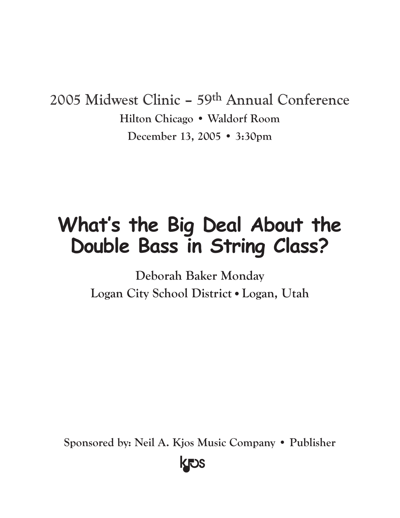## 2005 Midwest Clinic – 59th Annual Conference **Hilton Chicago • Waldorf Room December 13, 2005 • 3:30pm**

# **What's the Big Deal About the Double Bass in String Class?**

**Deborah Baker Monday Logan City School District•Logan, Utah**

**Sponsored by: Neil A. Kjos Music Company • Publisher**

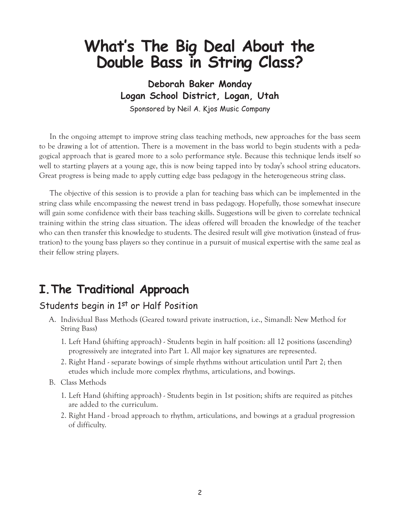## **What's The Big Deal About the Double Bass in String Class?**

**Deborah Baker Monday Logan School District, Logan, Utah** Sponsored by Neil A. Kjos Music Company

In the ongoing attempt to improve string class teaching methods, new approaches for the bass seem to be drawing a lot of attention. There is a movement in the bass world to begin students with a pedagogical approach that is geared more to a solo performance style. Because this technique lends itself so well to starting players at a young age, this is now being tapped into by today's school string educators. Great progress is being made to apply cutting edge bass pedagogy in the heterogeneous string class.

The objective of this session is to provide a plan for teaching bass which can be implemented in the string class while encompassing the newest trend in bass pedagogy. Hopefully, those somewhat insecure will gain some confidence with their bass teaching skills. Suggestions will be given to correlate technical training within the string class situation. The ideas offered will broaden the knowledge of the teacher who can then transfer this knowledge to students. The desired result will give motivation (instead of frustration) to the young bass players so they continue in a pursuit of musical expertise with the same zeal as their fellow string players.

## **I.The Traditional Approach**

#### Students begin in 1<sup>st</sup> or Half Position

- A. Individual Bass Methods (Geared toward private instruction, i.e., Simandl: New Method for String Bass)
	- 1. Left Hand (shifting approach) Students begin in half position: all 12 positions (ascending) progressively are integrated into Part 1. All major key signatures are represented.
	- 2. Right Hand separate bowings of simple rhythms without articulation until Part 2; then etudes which include more complex rhythms, articulations, and bowings.
- B. Class Methods
	- 1. Left Hand (shifting approach) Students begin in 1st position; shifts are required as pitches are added to the curriculum.
	- 2. Right Hand broad approach to rhythm, articulations, and bowings at a gradual progression of difficulty.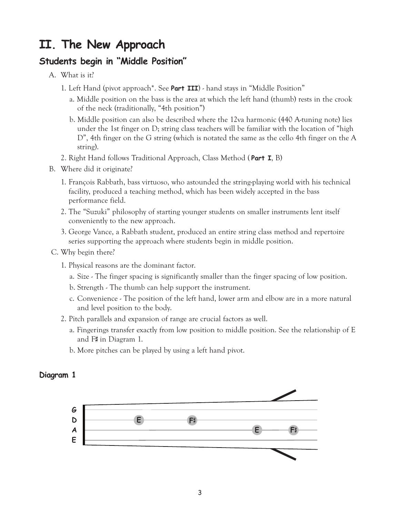## **II. The New Approach**

#### **Students begin in "Middle Position"**

- A. What is it?
	- 1. Left Hand (pivot approach\*. See **Part III**) hand stays in "Middle Position"
		- a. Middle position on the bass is the area at which the left hand (thumb) rests in the crook of the neck (traditionally, "4th position")
		- b. Middle position can also be described where the 12va harmonic (440 A-tuning note) lies under the 1st finger on D; string class teachers will be familiar with the location of "high D", 4th finger on the G string (which is notated the same as the cello 4th finger on the A string).
	- 2. Right Hand follows Traditional Approach, Class Method ( **Part I**, B)
- B. Where did it originate?
	- 1. François Rabbath, bass virtuoso, who astounded the string-playing world with his technical facility, produced a teaching method, which has been widely accepted in the bass performance field.
	- 2. The "Suzuki" philosophy of starting younger students on smaller instruments lent itself conveniently to the new approach.
	- 3. George Vance, a Rabbath student, produced an entire string class method and repertoire series supporting the approach where students begin in middle position.
- C. Why begin there?
	- 1. Physical reasons are the dominant factor.
		- a. Size The finger spacing is significantly smaller than the finger spacing of low position.
		- b. Strength The thumb can help support the instrument.
		- c. Convenience The position of the left hand, lower arm and elbow are in a more natural and level position to the body.
	- 2. Pitch parallels and expansion of range are crucial factors as well.
		- a. Fingerings transfer exactly from low position to middle position. See the relationship of E and F# in Diagram 1.
		- b. More pitches can be played by using a left hand pivot.

#### **Diagram 1**

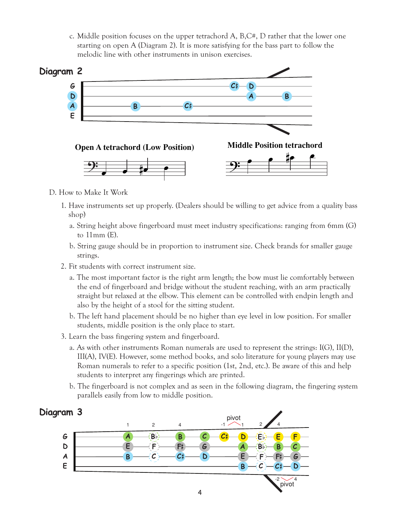c. Middle position focuses on the upper tetrachord A, B,C#, D rather that the lower one starting on open A (Diagram 2). It is more satisfying for the bass part to follow the melodic line with other instruments in unison exercises.



- D. How to Make It Work
	- 1. Have instruments set up properly. (Dealers should be willing to get advice from a quality bass shop)
		- a. String height above fingerboard must meet industry specifications: ranging from 6mm (G) to 11mm (E).
		- b. String gauge should be in proportion to instrument size. Check brands for smaller gauge strings.
	- 2. Fit students with correct instrument size.
		- a. The most important factor is the right arm length; the bow must lie comfortably between the end of fingerboard and bridge without the student reaching, with an arm practically straight but relaxed at the elbow. This element can be controlled with endpin length and also by the height of a stool for the sitting student.
		- b. The left hand placement should be no higher than eye level in low position. For smaller students, middle position is the only place to start.
	- 3. Learn the bass fingering system and fingerboard.
		- a. As with other instruments Roman numerals are used to represent the strings: I(G), II(D), III(A), IV(E). However, some method books, and solo literature for young players may use Roman numerals to refer to a specific position (1st, 2nd, etc.). Be aware of this and help students to interpret any fingerings which are printed.
		- b. The fingerboard is not complex and as seen in the following diagram, the fingering system parallels easily from low to middle position.

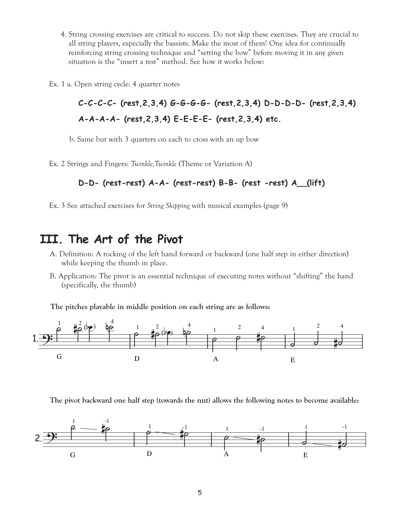4. String crossing exercises are critical to success. Do not skip these exercises. They are crucial to all string players, especially the bassists. Make the most of them! One idea for continually reinforcing string crossing technique and "setting the bow" before moving it in any given situation is the "insert a rest" method. See how it works below: critical to success. I<br>the bassists. Make the<br>chnique and "settin"<br>" method. See how<br>er notes<br>**4)**  $G-G-G-G-G-G$ **-**<br>**3,4)**  $E-E-E-E-G$ <br>on each to cross wi<br>Twinkle (Theme or **)**<br> $-\mathbf{A}$ - (rest-rest)<br>ing Skipping with mu<br>**Pivot**<br>ft h

Ex. 1 a. Open string cycle: 4 quarter notes

```
C-C-C-C- (rest,2,3,4) G-G-G-G- (rest,2,3,4) D-D-D-D- (rest,2,3,4)
A-A-A-A- (rest,2,3,4) E-E-E-E- (rest,2,3,4) etc.
```
b. Same but with 3 quarters on each to cross with an up bow

Ex. 2 Strings and Fingers: *Twinkle,Twinkle* (Theme or Variation A)

#### **D-D- (rest-rest) A-A- (rest-rest) B-B- (rest -rest) A\_\_(lift)**

Ex. 3 See attached exercises for *String Skipping* with musical examples (page 9)

### **III. The Art of the Pivot**

- A. Definition: A rocking of the left hand forward or backward (one half step in either direction) while keeping the thumb in place.
- B. Application: The pivot is an essential technique of executing notes without "shifting" the hand (specifically, the thumb)

**The pitches playable in middle position on each string are as follows:**



**The pivot backward one half step (towards the nut) allows the following notes to become available:**

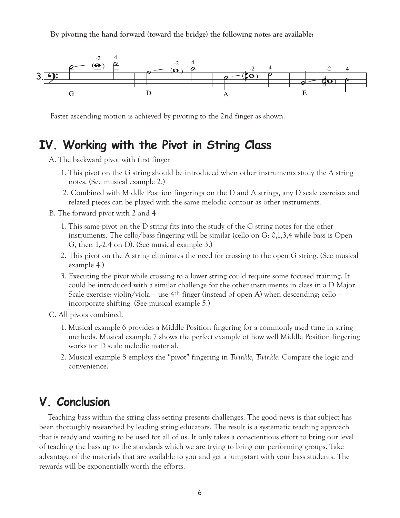**By pivoting the hand forward (toward the bridge) the following notes are available:**



Faster ascending motion is achieved by pivoting to the 2nd finger as shown.

## **IV. Working with the Pivot in String Class**

- A. The backward pivot with first finger
	- 1. This pivot on the G string should be introduced when other instruments study the A string notes. (See musical example 2.)
	- 2. Combined with Middle Position fingerings on the D and A strings, any D scale exercises and related pieces can be played with the same melodic contour as other instruments.
- B. The forward pivot with 2 and 4
	- 1. This same pivot on the D string fits into the study of the G string notes for the other instruments. The cello/bass fingering will be similar (cello on G: 0,1,3,4 while bass is Open G, then 1,-2,4 on D). (See musical example 3.)
	- 2. This pivot on the A string eliminates the need for crossing to the open G string. (See musical example 4.)
	- 3. Executing the pivot while crossing to a lower string could require some focused training. It could be introduced with a similar challenge for the other instruments in class in a D Major Scale exercise: violin/viola – use 4th finger (instead of open A) when descending; cello – incorporate shifting. (See musical example 5.)
- C. All pivots combined.
	- 1. Musical example 6 provides a Middle Position fingering for a commonly used tune in string methods. Musical example 7 shows the perfect example of how well Middle Position fingering works for D scale melodic material.
	- 2. Musical example 8 employs the "pivot" fingering in *Twinkle, Twinkle*. Compare the logic and convenience.

### **V. Conclusion**

Teaching bass within the string class setting presents challenges. The good news is that subject has been thoroughly researched by leading string educators. The result is a systematic teaching approach that is ready and waiting to be used for all of us. It only takes a conscientious effort to bring our level of teaching the bass up to the standards which we are trying to bring our performing groups. Take advantage of the materials that are available to you and get a jumpstart with your bass students. The rewards will be exponentially worth the efforts.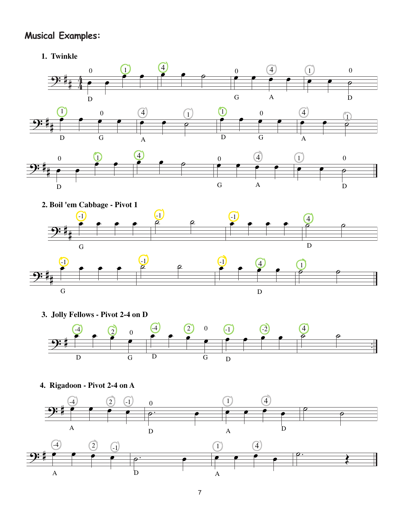## **Musical Examples:**

**1. Twinkl**





**3. Jolly Fellows - Pivot 2-4 on D**



**4. Rigadoon - Pivot 2-4 on A**

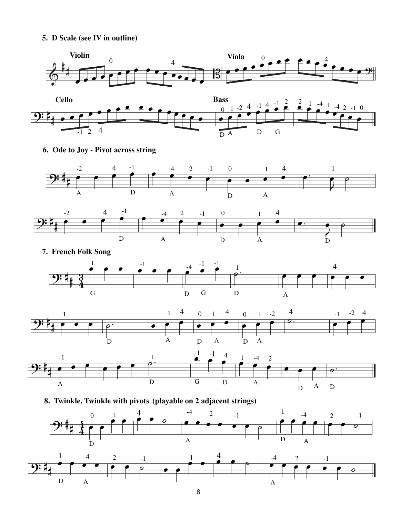**5. D Scale (see IV in outline)**







**7. French Folk Song**







**8. Twinkle, Twinkle with pivot (playable on 2 ad acent strings)**